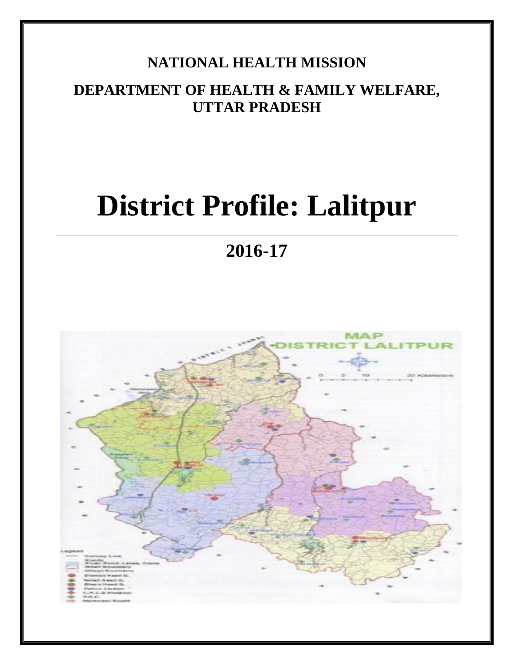# **NATIONAL HEALTH MISSION**

**DEPARTMENT OF HEALTH & FAMILY WELFARE, UTTAR PRADESH**

# **District Profile: Lalitpur**

**2016-17**

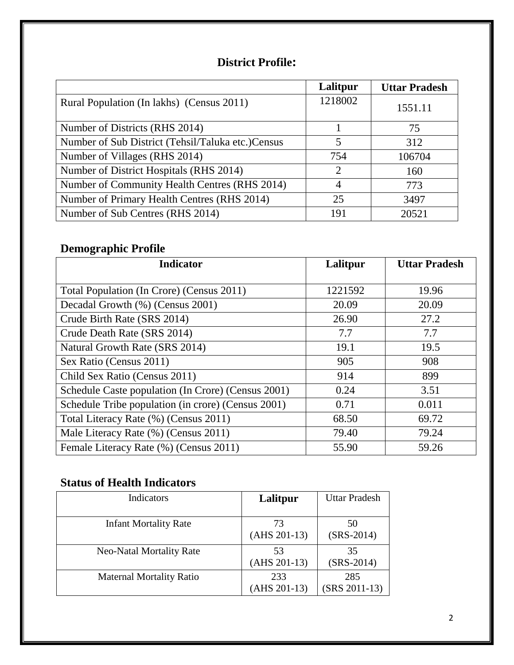## **District Profile:**

|                                                   | Lalitpur                    | <b>Uttar Pradesh</b> |
|---------------------------------------------------|-----------------------------|----------------------|
| Rural Population (In lakhs) (Census 2011)         | 1218002                     | 1551.11              |
| Number of Districts (RHS 2014)                    |                             | 75                   |
| Number of Sub District (Tehsil/Taluka etc.)Census | 5                           | 312                  |
| Number of Villages (RHS 2014)                     | 754                         | 106704               |
| Number of District Hospitals (RHS 2014)           | $\mathcal{D}_{\mathcal{L}}$ | 160                  |
| Number of Community Health Centres (RHS 2014)     | 4                           | 773                  |
| Number of Primary Health Centres (RHS 2014)       | 25                          | 3497                 |
| Number of Sub Centres (RHS 2014)                  | 191                         | 20521                |

# **Demographic Profile**

| <b>Indicator</b>                                   | Lalitpur | <b>Uttar Pradesh</b> |
|----------------------------------------------------|----------|----------------------|
|                                                    |          |                      |
| Total Population (In Crore) (Census 2011)          | 1221592  | 19.96                |
| Decadal Growth (%) (Census 2001)                   | 20.09    | 20.09                |
| Crude Birth Rate (SRS 2014)                        | 26.90    | 27.2                 |
| Crude Death Rate (SRS 2014)                        | 7.7      | 7.7                  |
| Natural Growth Rate (SRS 2014)                     | 19.1     | 19.5                 |
| Sex Ratio (Census 2011)                            | 905      | 908                  |
| Child Sex Ratio (Census 2011)                      | 914      | 899                  |
| Schedule Caste population (In Crore) (Census 2001) | 0.24     | 3.51                 |
| Schedule Tribe population (in crore) (Census 2001) | 0.71     | 0.011                |
| Total Literacy Rate (%) (Census 2011)              | 68.50    | 69.72                |
| Male Literacy Rate (%) (Census 2011)               | 79.40    | 79.24                |
| Female Literacy Rate (%) (Census 2011)             | 55.90    | 59.26                |

# **Status of Health Indicators**

| Indicators                      | Lalitpur              | <b>Uttar Pradesh</b>   |
|---------------------------------|-----------------------|------------------------|
| <b>Infant Mortality Rate</b>    | 73<br>$(AHS 201-13)$  | 50<br>$(SRS-2014)$     |
| <b>Neo-Natal Mortality Rate</b> | 53<br>$(AHS 201-13)$  | 35<br>$(SRS-2014)$     |
| <b>Maternal Mortality Ratio</b> | 233<br>$(AHS 201-13)$ | 285<br>$(SRS 2011-13)$ |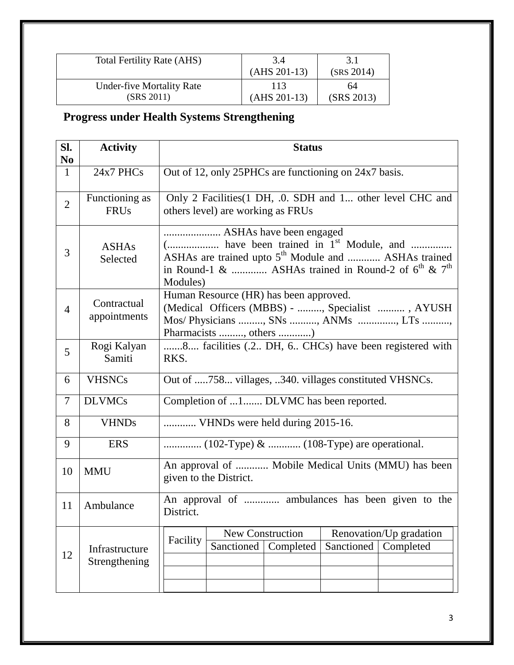| <b>Total Fertility Rate (AHS)</b> | 3.4<br>$(AHS 201-13)$ | 3.1<br>(SRS 2014) |
|-----------------------------------|-----------------------|-------------------|
| <b>Under-five Mortality Rate</b>  | 113                   | 64                |
| (SRS 2011)                        | $(AHS 201-13)$        | (SRS 2013)        |

# **Progress under Health Systems Strengthening**

| SI.<br>N <sub>0</sub> | <b>Activity</b>                 | <b>Status</b>                                                                                                                                             |  |  |  |
|-----------------------|---------------------------------|-----------------------------------------------------------------------------------------------------------------------------------------------------------|--|--|--|
| $\mathbf{1}$          | 24x7 PHCs                       | Out of 12, only 25PHCs are functioning on 24x7 basis.                                                                                                     |  |  |  |
| $\overline{2}$        | Functioning as<br><b>FRUs</b>   | Only 2 Facilities (1 DH, .0. SDH and 1 other level CHC and<br>others level) are working as FRUs                                                           |  |  |  |
| 3                     | <b>ASHAs</b><br>Selected        | ASHAs are trained upto 5 <sup>th</sup> Module and  ASHAs trained<br>in Round-1 &  ASHAs trained in Round-2 of $6^{th}$ & $7^{th}$<br>Modules)             |  |  |  |
| $\overline{4}$        | Contractual<br>appointments     | Human Resource (HR) has been approved.<br>(Medical Officers (MBBS) - , Specialist , AYUSH<br>Mos/ Physicians , SNs , ANMs , LTs<br>Pharmacists , others ) |  |  |  |
| 5                     | Rogi Kalyan<br>Samiti           | 8 facilities (.2 DH, 6 CHCs) have been registered with<br>RKS.                                                                                            |  |  |  |
| 6                     | <b>VHSNCs</b>                   | Out of 758 villages, 340. villages constituted VHSNCs.                                                                                                    |  |  |  |
| $\overline{7}$        | <b>DLVMCs</b>                   | Completion of 1 DLVMC has been reported.                                                                                                                  |  |  |  |
| 8                     | <b>VHNDs</b>                    | VHNDs were held during 2015-16.                                                                                                                           |  |  |  |
| 9                     | <b>ERS</b>                      |                                                                                                                                                           |  |  |  |
| 10                    | <b>MMU</b>                      | An approval of  Mobile Medical Units (MMU) has been<br>given to the District.                                                                             |  |  |  |
| 11                    | Ambulance                       | An approval of  ambulances has been given to the<br>District.                                                                                             |  |  |  |
| 12                    | Infrastructure<br>Strengthening | <b>New Construction</b><br>Renovation/Up gradation<br>Facility<br>Sanctioned<br>Sanctioned<br>Completed<br>Completed                                      |  |  |  |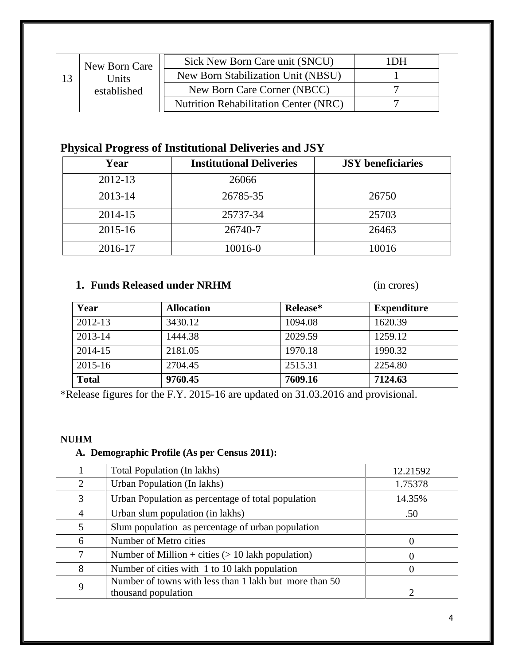| New Born Care |              | Sick New Born Care unit (SNCU)               | <b>DH</b> |  |
|---------------|--------------|----------------------------------------------|-----------|--|
|               | <b>Jnits</b> | New Born Stabilization Unit (NBSU)           |           |  |
|               | established  | New Born Care Corner (NBCC)                  |           |  |
|               |              | <b>Nutrition Rehabilitation Center (NRC)</b> |           |  |

# **Physical Progress of Institutional Deliveries and JSY**

| Year    | <b>Institutional Deliveries</b> | <b>JSY</b> beneficiaries |
|---------|---------------------------------|--------------------------|
| 2012-13 | 26066                           |                          |
| 2013-14 | 26785-35                        | 26750                    |
| 2014-15 | 25737-34                        | 25703                    |
| 2015-16 | 26740-7                         | 26463                    |
| 2016-17 | 10016-0                         | 10016                    |

## **1. Funds Released under NRHM** (in crores)

| Year         | <b>Allocation</b> | Release* | <b>Expenditure</b> |
|--------------|-------------------|----------|--------------------|
| 2012-13      | 3430.12           | 1094.08  | 1620.39            |
| 2013-14      | 1444.38           | 2029.59  | 1259.12            |
| 2014-15      | 2181.05           | 1970.18  | 1990.32            |
| $2015 - 16$  | 2704.45           | 2515.31  | 2254.80            |
| <b>Total</b> | 9760.45           | 7609.16  | 7124.63            |

\*Release figures for the F.Y. 2015-16 are updated on 31.03.2016 and provisional.

#### **NUHM**

## **A. Demographic Profile (As per Census 2011):**

|                | Total Population (In lakhs)                            | 12.21592 |
|----------------|--------------------------------------------------------|----------|
| 2              | Urban Population (In lakhs)                            | 1.75378  |
| 3              | Urban Population as percentage of total population     | 14.35%   |
| $\overline{4}$ | Urban slum population (in lakhs)                       | .50      |
| 5              | Slum population as percentage of urban population      |          |
| 6              | Number of Metro cities                                 |          |
| 7              | Number of Million + cities $(> 10$ lakh population)    |          |
| 8              | Number of cities with 1 to 10 lakh population          | $\left($ |
| 9              | Number of towns with less than 1 lakh but more than 50 |          |
|                | thousand population                                    |          |